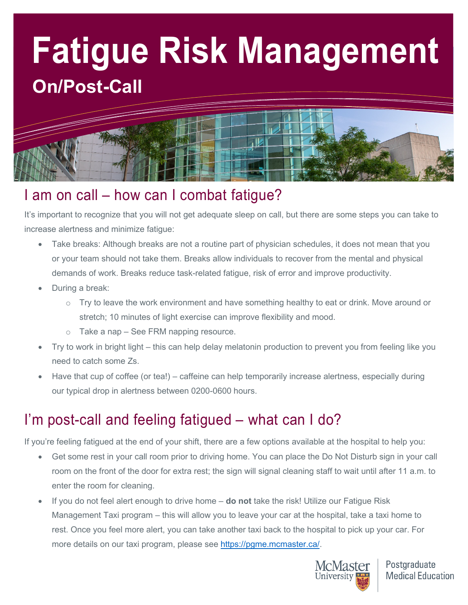# **Fatigue Risk Management On/Post-Call**



## I am on call – how can I combat fatigue?

It's important to recognize that you will not get adequate sleep on call, but there are some steps you can take to increase alertness and minimize fatigue:

- Take breaks: Although breaks are not a routine part of physician schedules, it does not mean that you or your team should not take them. Breaks allow individuals to recover from the mental and physical demands of work. Breaks reduce task-related fatigue, risk of error and improve productivity.
- During a break:
	- $\circ$  Try to leave the work environment and have something healthy to eat or drink. Move around or stretch; 10 minutes of light exercise can improve flexibility and mood.
	- o Take a nap See FRM napping resource.
- Try to work in bright light this can help delay melatonin production to prevent you from feeling like you need to catch some Zs.
- Have that cup of coffee (or tea!) caffeine can help temporarily increase alertness, especially during our typical drop in alertness between 0200-0600 hours.

## I'm post-call and feeling fatigued – what can I do?

If you're feeling fatigued at the end of your shift, there are a few options available at the hospital to help you:

- Get some rest in your call room prior to driving home. You can place the Do Not Disturb sign in your call room on the front of the door for extra rest; the sign will signal cleaning staff to wait until after 11 a.m. to enter the room for cleaning.
- If you do not feel alert enough to drive home **do not** take the risk! Utilize our Fatigue Risk Management Taxi program – this will allow you to leave your car at the hospital, take a taxi home to rest. Once you feel more alert, you can take another taxi back to the hospital to pick up your car. For more details on our taxi program, please see [https://pgme.mcmaster.ca/.](https://pgme.mcmaster.ca/)



Postgraduate **Medical Education**